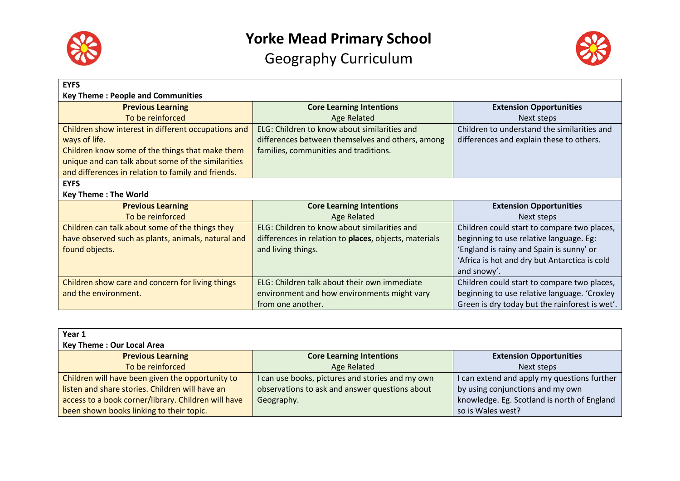



| <b>EYFS</b>                                         |                                                       |                                                |
|-----------------------------------------------------|-------------------------------------------------------|------------------------------------------------|
| <b>Key Theme: People and Communities</b>            |                                                       |                                                |
| <b>Previous Learning</b>                            | <b>Core Learning Intentions</b>                       | <b>Extension Opportunities</b>                 |
| To be reinforced                                    | <b>Age Related</b>                                    | Next steps                                     |
| Children show interest in different occupations and | ELG: Children to know about similarities and          | Children to understand the similarities and    |
| ways of life.                                       | differences between themselves and others, among      | differences and explain these to others.       |
| Children know some of the things that make them     | families, communities and traditions.                 |                                                |
| unique and can talk about some of the similarities  |                                                       |                                                |
| and differences in relation to family and friends.  |                                                       |                                                |
| <b>EYFS</b>                                         |                                                       |                                                |
| <b>Key Theme: The World</b>                         |                                                       |                                                |
| <b>Previous Learning</b>                            | <b>Core Learning Intentions</b>                       | <b>Extension Opportunities</b>                 |
| To be reinforced                                    | <b>Age Related</b>                                    | Next steps                                     |
| Children can talk about some of the things they     | ELG: Children to know about similarities and          | Children could start to compare two places,    |
| have observed such as plants, animals, natural and  | differences in relation to places, objects, materials | beginning to use relative language. Eg:        |
| found objects.                                      | and living things.                                    | 'England is rainy and Spain is sunny' or       |
|                                                     |                                                       | 'Africa is hot and dry but Antarctica is cold  |
|                                                     |                                                       | and snowy'.                                    |
| Children show care and concern for living things    | ELG: Children talk about their own immediate          | Children could start to compare two places,    |
| and the environment.                                | environment and how environments might vary           | beginning to use relative language. 'Croxley   |
|                                                     | from one another.                                     | Green is dry today but the rainforest is wet'. |

| Year 1                                              |                                                  |                                             |
|-----------------------------------------------------|--------------------------------------------------|---------------------------------------------|
| <b>Key Theme: Our Local Area</b>                    |                                                  |                                             |
| <b>Previous Learning</b>                            | <b>Core Learning Intentions</b>                  | <b>Extension Opportunities</b>              |
| To be reinforced                                    | Age Related                                      | Next steps                                  |
| Children will have been given the opportunity to    | I can use books, pictures and stories and my own | I can extend and apply my questions further |
| listen and share stories. Children will have an     | observations to ask and answer questions about   | by using conjunctions and my own            |
| access to a book corner/library. Children will have | Geography.                                       | knowledge. Eg. Scotland is north of England |
| been shown books linking to their topic.            |                                                  | so is Wales west?                           |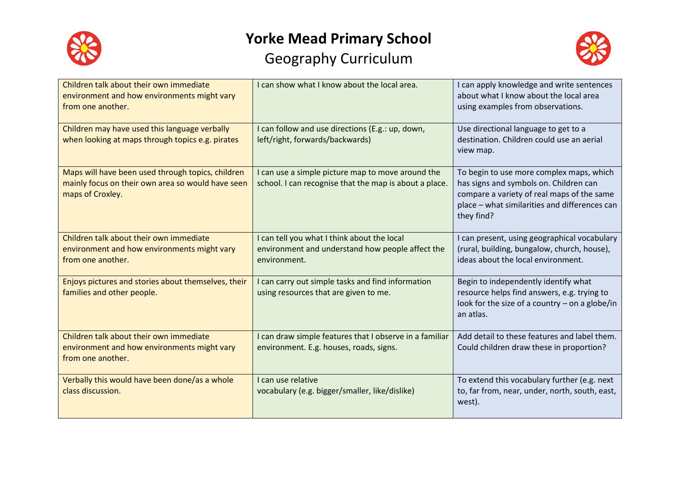



| Children talk about their own immediate<br>environment and how environments might vary<br>from one another.                | I can show what I know about the local area.                                                                    | I can apply knowledge and write sentences<br>about what I know about the local area<br>using examples from observations.                                                                        |
|----------------------------------------------------------------------------------------------------------------------------|-----------------------------------------------------------------------------------------------------------------|-------------------------------------------------------------------------------------------------------------------------------------------------------------------------------------------------|
| Children may have used this language verbally<br>when looking at maps through topics e.g. pirates                          | I can follow and use directions (E.g.: up, down,<br>left/right, forwards/backwards)                             | Use directional language to get to a<br>destination. Children could use an aerial<br>view map.                                                                                                  |
| Maps will have been used through topics, children<br>mainly focus on their own area so would have seen<br>maps of Croxley. | I can use a simple picture map to move around the<br>school. I can recognise that the map is about a place.     | To begin to use more complex maps, which<br>has signs and symbols on. Children can<br>compare a variety of real maps of the same<br>place - what similarities and differences can<br>they find? |
| Children talk about their own immediate<br>environment and how environments might vary<br>from one another.                | I can tell you what I think about the local<br>environment and understand how people affect the<br>environment. | I can present, using geographical vocabulary<br>(rural, building, bungalow, church, house),<br>ideas about the local environment.                                                               |
| Enjoys pictures and stories about themselves, their<br>families and other people.                                          | I can carry out simple tasks and find information<br>using resources that are given to me.                      | Begin to independently identify what<br>resource helps find answers, e.g. trying to<br>look for the size of a country $-$ on a globe/in<br>an atlas.                                            |
| Children talk about their own immediate<br>environment and how environments might vary<br>from one another.                | I can draw simple features that I observe in a familiar<br>environment. E.g. houses, roads, signs.              | Add detail to these features and label them.<br>Could children draw these in proportion?                                                                                                        |
| Verbally this would have been done/as a whole<br>class discussion.                                                         | I can use relative<br>vocabulary (e.g. bigger/smaller, like/dislike)                                            | To extend this vocabulary further (e.g. next<br>to, far from, near, under, north, south, east,<br>west).                                                                                        |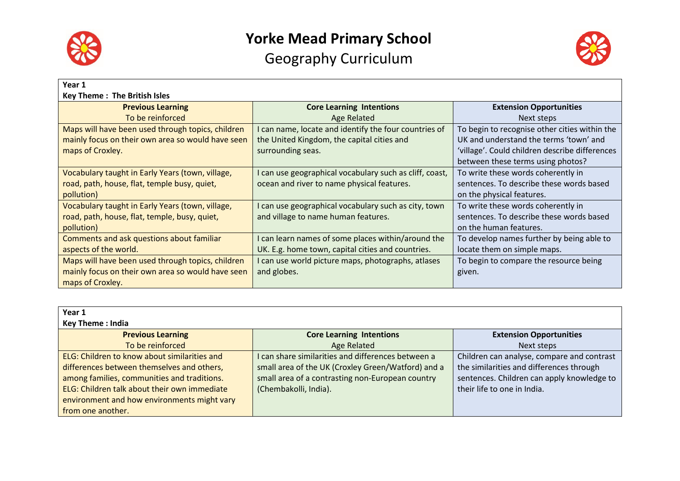

# **Yorke Mead Primary School**

Geography Curriculum



| Year 1                                            |                                                         |                                                |
|---------------------------------------------------|---------------------------------------------------------|------------------------------------------------|
| <b>Key Theme: The British Isles</b>               |                                                         |                                                |
| <b>Previous Learning</b>                          | <b>Core Learning Intentions</b>                         | <b>Extension Opportunities</b>                 |
| To be reinforced                                  | Age Related                                             | Next steps                                     |
| Maps will have been used through topics, children | I can name, locate and identify the four countries of   | To begin to recognise other cities within the  |
| mainly focus on their own area so would have seen | the United Kingdom, the capital cities and              | UK and understand the terms 'town' and         |
| maps of Croxley.                                  | surrounding seas.                                       | 'village'. Could children describe differences |
|                                                   |                                                         | between these terms using photos?              |
| Vocabulary taught in Early Years (town, village,  | I can use geographical vocabulary such as cliff, coast, | To write these words coherently in             |
| road, path, house, flat, temple busy, quiet,      | ocean and river to name physical features.              | sentences. To describe these words based       |
| pollution)                                        |                                                         | on the physical features.                      |
| Vocabulary taught in Early Years (town, village,  | I can use geographical vocabulary such as city, town    | To write these words coherently in             |
| road, path, house, flat, temple, busy, quiet,     | and village to name human features.                     | sentences. To describe these words based       |
| pollution)                                        |                                                         | on the human features.                         |
| Comments and ask questions about familiar         | I can learn names of some places within/around the      | To develop names further by being able to      |
| aspects of the world.                             | UK. E.g. home town, capital cities and countries.       | locate them on simple maps.                    |
| Maps will have been used through topics, children | I can use world picture maps, photographs, atlases      | To begin to compare the resource being         |
| mainly focus on their own area so would have seen | and globes.                                             | given.                                         |
| maps of Croxley.                                  |                                                         |                                                |

| Year 1<br><b>Key Theme: India</b>                                                                                                                                                                                                                             |                                                                                                                                                                                       |                                                                                                                                                                     |
|---------------------------------------------------------------------------------------------------------------------------------------------------------------------------------------------------------------------------------------------------------------|---------------------------------------------------------------------------------------------------------------------------------------------------------------------------------------|---------------------------------------------------------------------------------------------------------------------------------------------------------------------|
| <b>Previous Learning</b>                                                                                                                                                                                                                                      | <b>Core Learning Intentions</b>                                                                                                                                                       | <b>Extension Opportunities</b>                                                                                                                                      |
| To be reinforced                                                                                                                                                                                                                                              | Age Related                                                                                                                                                                           | Next steps                                                                                                                                                          |
| ELG: Children to know about similarities and<br>differences between themselves and others,<br>among families, communities and traditions.<br>ELG: Children talk about their own immediate<br>environment and how environments might vary<br>from one another. | I can share similarities and differences between a<br>small area of the UK (Croxley Green/Watford) and a<br>small area of a contrasting non-European country<br>(Chembakolli, India). | Children can analyse, compare and contrast<br>the similarities and differences through<br>sentences. Children can apply knowledge to<br>their life to one in India. |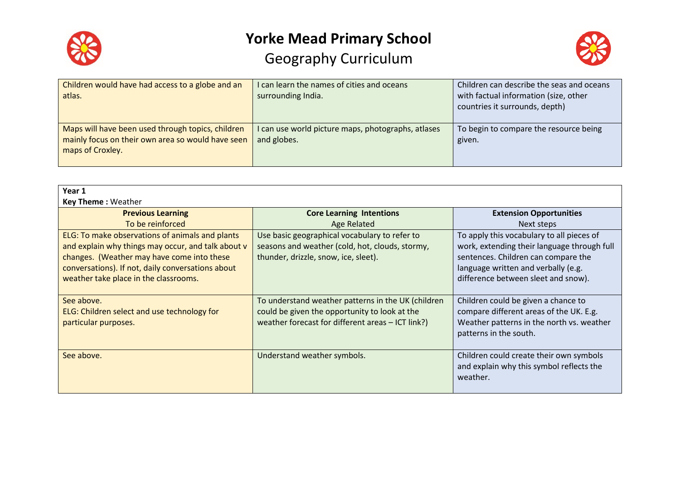



| Children would have had access to a globe and an<br>atlas.                                                                 | I can learn the names of cities and oceans<br>surrounding India.  | Children can describe the seas and oceans<br>with factual information (size, other<br>countries it surrounds, depth) |
|----------------------------------------------------------------------------------------------------------------------------|-------------------------------------------------------------------|----------------------------------------------------------------------------------------------------------------------|
| Maps will have been used through topics, children<br>mainly focus on their own area so would have seen<br>maps of Croxley. | I can use world picture maps, photographs, atlases<br>and globes. | To begin to compare the resource being<br>given.                                                                     |

| Year 1                                             |                                                    |                                             |
|----------------------------------------------------|----------------------------------------------------|---------------------------------------------|
| <b>Key Theme: Weather</b>                          |                                                    |                                             |
| <b>Previous Learning</b>                           | <b>Core Learning Intentions</b>                    | <b>Extension Opportunities</b>              |
| To be reinforced                                   | <b>Age Related</b>                                 | Next steps                                  |
| ELG: To make observations of animals and plants    | Use basic geographical vocabulary to refer to      | To apply this vocabulary to all pieces of   |
| and explain why things may occur, and talk about v | seasons and weather (cold, hot, clouds, stormy,    | work, extending their language through full |
| changes. (Weather may have come into these         | thunder, drizzle, snow, ice, sleet).               | sentences. Children can compare the         |
| conversations). If not, daily conversations about  |                                                    | language written and verbally (e.g.         |
| weather take place in the classrooms.              |                                                    | difference between sleet and snow).         |
|                                                    |                                                    |                                             |
| See above.                                         | To understand weather patterns in the UK (children | Children could be given a chance to         |
| ELG: Children select and use technology for        | could be given the opportunity to look at the      | compare different areas of the UK. E.g.     |
| particular purposes.                               | weather forecast for different areas - ICT link?)  | Weather patterns in the north vs. weather   |
|                                                    |                                                    | patterns in the south.                      |
|                                                    |                                                    |                                             |
| See above.                                         | Understand weather symbols.                        | Children could create their own symbols     |
|                                                    |                                                    | and explain why this symbol reflects the    |
|                                                    |                                                    | weather.                                    |
|                                                    |                                                    |                                             |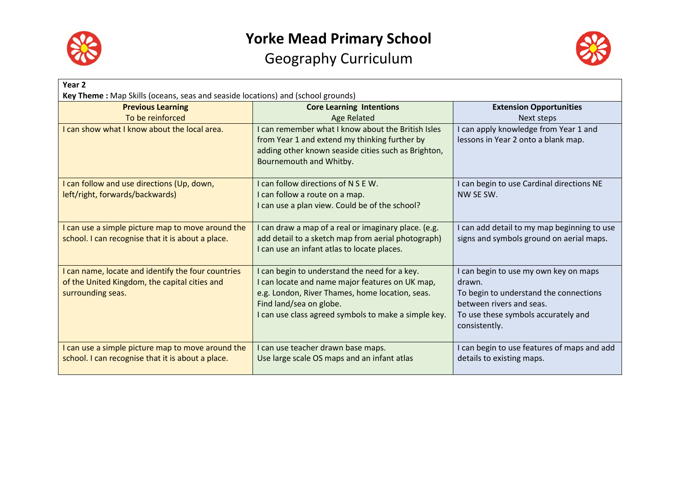

## **Yorke Mead Primary School**

Geography Curriculum



| Year <sub>2</sub>                                                                                                        |                                                                                                                                                                                                                                        |                                                                                                                                                                               |
|--------------------------------------------------------------------------------------------------------------------------|----------------------------------------------------------------------------------------------------------------------------------------------------------------------------------------------------------------------------------------|-------------------------------------------------------------------------------------------------------------------------------------------------------------------------------|
| Key Theme: Map Skills (oceans, seas and seaside locations) and (school grounds)                                          |                                                                                                                                                                                                                                        |                                                                                                                                                                               |
| <b>Previous Learning</b>                                                                                                 | <b>Core Learning Intentions</b>                                                                                                                                                                                                        | <b>Extension Opportunities</b>                                                                                                                                                |
| To be reinforced                                                                                                         | <b>Age Related</b>                                                                                                                                                                                                                     | Next steps                                                                                                                                                                    |
| I can show what I know about the local area.                                                                             | I can remember what I know about the British Isles<br>from Year 1 and extend my thinking further by<br>adding other known seaside cities such as Brighton,<br>Bournemouth and Whitby.                                                  | can apply knowledge from Year 1 and<br>lessons in Year 2 onto a blank map.                                                                                                    |
| I can follow and use directions (Up, down,<br>left/right, forwards/backwards)                                            | I can follow directions of N S E W.<br>I can follow a route on a map.<br>I can use a plan view. Could be of the school?                                                                                                                | I can begin to use Cardinal directions NE<br>NW SE SW.                                                                                                                        |
| I can use a simple picture map to move around the<br>school. I can recognise that it is about a place.                   | I can draw a map of a real or imaginary place. (e.g.<br>add detail to a sketch map from aerial photograph)<br>I can use an infant atlas to locate places.                                                                              | I can add detail to my map beginning to use<br>signs and symbols ground on aerial maps.                                                                                       |
| I can name, locate and identify the four countries<br>of the United Kingdom, the capital cities and<br>surrounding seas. | I can begin to understand the need for a key.<br>I can locate and name major features on UK map,<br>e.g. London, River Thames, home location, seas.<br>Find land/sea on globe.<br>I can use class agreed symbols to make a simple key. | I can begin to use my own key on maps<br>drawn.<br>To begin to understand the connections<br>between rivers and seas.<br>To use these symbols accurately and<br>consistently. |
| I can use a simple picture map to move around the<br>school. I can recognise that it is about a place.                   | I can use teacher drawn base maps.<br>Use large scale OS maps and an infant atlas                                                                                                                                                      | I can begin to use features of maps and add<br>details to existing maps.                                                                                                      |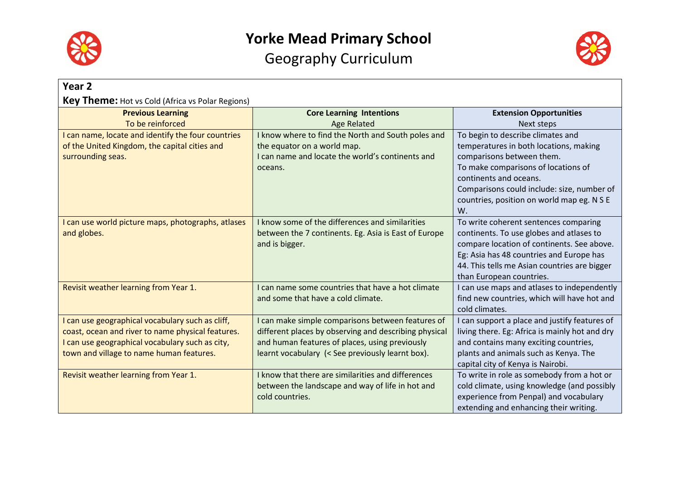



| Year <sub>2</sub>                                       |                                                                     |                                                                                          |  |
|---------------------------------------------------------|---------------------------------------------------------------------|------------------------------------------------------------------------------------------|--|
| <b>Key Theme:</b> Hot vs Cold (Africa vs Polar Regions) |                                                                     |                                                                                          |  |
| <b>Previous Learning</b>                                | <b>Core Learning Intentions</b>                                     | <b>Extension Opportunities</b>                                                           |  |
| To be reinforced                                        | <b>Age Related</b>                                                  | Next steps                                                                               |  |
| I can name, locate and identify the four countries      | I know where to find the North and South poles and                  | To begin to describe climates and                                                        |  |
| of the United Kingdom, the capital cities and           | the equator on a world map.                                         | temperatures in both locations, making                                                   |  |
| surrounding seas.                                       | I can name and locate the world's continents and                    | comparisons between them.                                                                |  |
|                                                         | oceans.                                                             | To make comparisons of locations of                                                      |  |
|                                                         |                                                                     | continents and oceans.                                                                   |  |
|                                                         |                                                                     | Comparisons could include: size, number of<br>countries, position on world map eg. N S E |  |
|                                                         |                                                                     | W.                                                                                       |  |
| I can use world picture maps, photographs, atlases      | I know some of the differences and similarities                     | To write coherent sentences comparing                                                    |  |
| and globes.                                             | between the 7 continents. Eg. Asia is East of Europe                | continents. To use globes and atlases to                                                 |  |
|                                                         | and is bigger.                                                      | compare location of continents. See above.                                               |  |
|                                                         |                                                                     | Eg: Asia has 48 countries and Europe has                                                 |  |
|                                                         |                                                                     | 44. This tells me Asian countries are bigger                                             |  |
|                                                         |                                                                     | than European countries.                                                                 |  |
| Revisit weather learning from Year 1.                   | I can name some countries that have a hot climate                   | I can use maps and atlases to independently                                              |  |
|                                                         | and some that have a cold climate.                                  | find new countries, which will have hot and                                              |  |
|                                                         |                                                                     | cold climates.                                                                           |  |
| I can use geographical vocabulary such as cliff,        | I can make simple comparisons between features of                   | I can support a place and justify features of                                            |  |
| coast, ocean and river to name physical features.       | different places by observing and describing physical               | living there. Eg: Africa is mainly hot and dry                                           |  |
| I can use geographical vocabulary such as city,         | and human features of places, using previously                      | and contains many exciting countries,                                                    |  |
| town and village to name human features.                | learnt vocabulary (< See previously learnt box).                    | plants and animals such as Kenya. The                                                    |  |
|                                                         |                                                                     | capital city of Kenya is Nairobi.                                                        |  |
| Revisit weather learning from Year 1.                   | I know that there are similarities and differences                  | To write in role as somebody from a hot or                                               |  |
|                                                         | between the landscape and way of life in hot and<br>cold countries. | cold climate, using knowledge (and possibly<br>experience from Penpal) and vocabulary    |  |
|                                                         |                                                                     |                                                                                          |  |
|                                                         |                                                                     | extending and enhancing their writing.                                                   |  |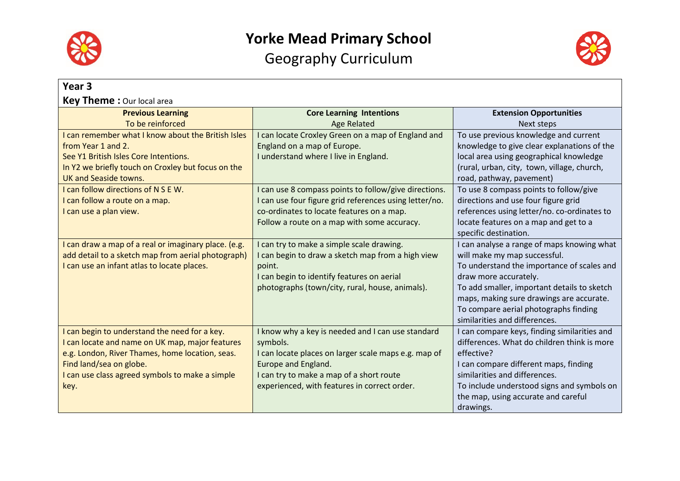



| Year <sub>3</sub>                                    |                                                        |                                              |
|------------------------------------------------------|--------------------------------------------------------|----------------------------------------------|
| <b>Key Theme:</b> Our local area                     |                                                        |                                              |
| <b>Previous Learning</b>                             | <b>Core Learning Intentions</b>                        | <b>Extension Opportunities</b>               |
| To be reinforced                                     | <b>Age Related</b>                                     | Next steps                                   |
| I can remember what I know about the British Isles   | I can locate Croxley Green on a map of England and     | To use previous knowledge and current        |
| from Year 1 and 2.                                   | England on a map of Europe.                            | knowledge to give clear explanations of the  |
| See Y1 British Isles Core Intentions.                | I understand where I live in England.                  | local area using geographical knowledge      |
| In Y2 we briefly touch on Croxley but focus on the   |                                                        | (rural, urban, city, town, village, church,  |
| <b>UK and Seaside towns.</b>                         |                                                        | road, pathway, pavement)                     |
| I can follow directions of N S E W.                  | I can use 8 compass points to follow/give directions.  | To use 8 compass points to follow/give       |
| I can follow a route on a map.                       | I can use four figure grid references using letter/no. | directions and use four figure grid          |
| I can use a plan view.                               | co-ordinates to locate features on a map.              | references using letter/no. co-ordinates to  |
|                                                      | Follow a route on a map with some accuracy.            | locate features on a map and get to a        |
|                                                      |                                                        | specific destination.                        |
| I can draw a map of a real or imaginary place. (e.g. | I can try to make a simple scale drawing.              | I can analyse a range of maps knowing what   |
| add detail to a sketch map from aerial photograph)   | I can begin to draw a sketch map from a high view      | will make my map successful.                 |
| I can use an infant atlas to locate places.          | point.                                                 | To understand the importance of scales and   |
|                                                      | I can begin to identify features on aerial             | draw more accurately.                        |
|                                                      | photographs (town/city, rural, house, animals).        | To add smaller, important details to sketch  |
|                                                      |                                                        | maps, making sure drawings are accurate.     |
|                                                      |                                                        | To compare aerial photographs finding        |
|                                                      |                                                        | similarities and differences.                |
| I can begin to understand the need for a key.        | I know why a key is needed and I can use standard      | I can compare keys, finding similarities and |
| I can locate and name on UK map, major features      | symbols.                                               | differences. What do children think is more  |
| e.g. London, River Thames, home location, seas.      | I can locate places on larger scale maps e.g. map of   | effective?                                   |
| Find land/sea on globe.                              | Europe and England.                                    | I can compare different maps, finding        |
| I can use class agreed symbols to make a simple      | I can try to make a map of a short route               | similarities and differences.                |
| key.                                                 | experienced, with features in correct order.           | To include understood signs and symbols on   |
|                                                      |                                                        | the map, using accurate and careful          |
|                                                      |                                                        | drawings.                                    |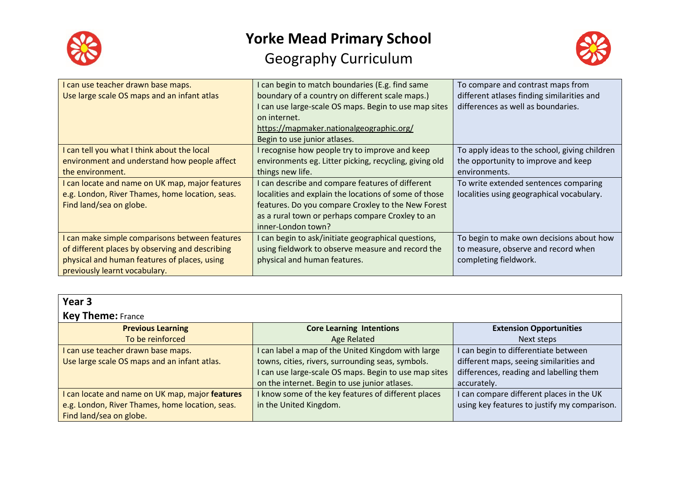



| I can use teacher drawn base maps.              | can begin to match boundaries (E.g. find same                                                          | To compare and contrast maps from                                                |
|-------------------------------------------------|--------------------------------------------------------------------------------------------------------|----------------------------------------------------------------------------------|
| Use large scale OS maps and an infant atlas     | boundary of a country on different scale maps.)<br>can use large-scale OS maps. Begin to use map sites | different atlases finding similarities and<br>differences as well as boundaries. |
|                                                 | on internet.                                                                                           |                                                                                  |
|                                                 | https://mapmaker.nationalgeographic.org/                                                               |                                                                                  |
|                                                 | Begin to use junior atlases.                                                                           |                                                                                  |
| I can tell you what I think about the local     | recognise how people try to improve and keep                                                           | To apply ideas to the school, giving children                                    |
| environment and understand how people affect    | environments eg. Litter picking, recycling, giving old                                                 | the opportunity to improve and keep                                              |
| the environment.                                | things new life.                                                                                       | environments.                                                                    |
| I can locate and name on UK map, major features | I can describe and compare features of different                                                       | To write extended sentences comparing                                            |
| e.g. London, River Thames, home location, seas. | localities and explain the locations of some of those                                                  | localities using geographical vocabulary.                                        |
| Find land/sea on globe.                         | features. Do you compare Croxley to the New Forest                                                     |                                                                                  |
|                                                 | as a rural town or perhaps compare Croxley to an                                                       |                                                                                  |
|                                                 | inner-London town?                                                                                     |                                                                                  |
| I can make simple comparisons between features  | can begin to ask/initiate geographical questions,                                                      | To begin to make own decisions about how                                         |
| of different places by observing and describing | using fieldwork to observe measure and record the                                                      | to measure, observe and record when                                              |
| physical and human features of places, using    | physical and human features.                                                                           | completing fieldwork.                                                            |
| previously learnt vocabulary.                   |                                                                                                        |                                                                                  |

| Year <sub>3</sub>                               |                                                       |                                              |
|-------------------------------------------------|-------------------------------------------------------|----------------------------------------------|
| <b>Key Theme: France</b>                        |                                                       |                                              |
| <b>Previous Learning</b>                        | <b>Core Learning Intentions</b>                       | <b>Extension Opportunities</b>               |
| To be reinforced                                | Age Related                                           | Next steps                                   |
| I can use teacher drawn base maps.              | I can label a map of the United Kingdom with large    | I can begin to differentiate between         |
| Use large scale OS maps and an infant atlas.    | towns, cities, rivers, surrounding seas, symbols.     | different maps, seeing similarities and      |
|                                                 | I can use large-scale OS maps. Begin to use map sites | differences, reading and labelling them      |
|                                                 | on the internet. Begin to use junior atlases.         | accurately.                                  |
| can locate and name on UK map, major features   | I know some of the key features of different places   | I can compare different places in the UK     |
| e.g. London, River Thames, home location, seas. | in the United Kingdom.                                | using key features to justify my comparison. |
| Find land/sea on globe.                         |                                                       |                                              |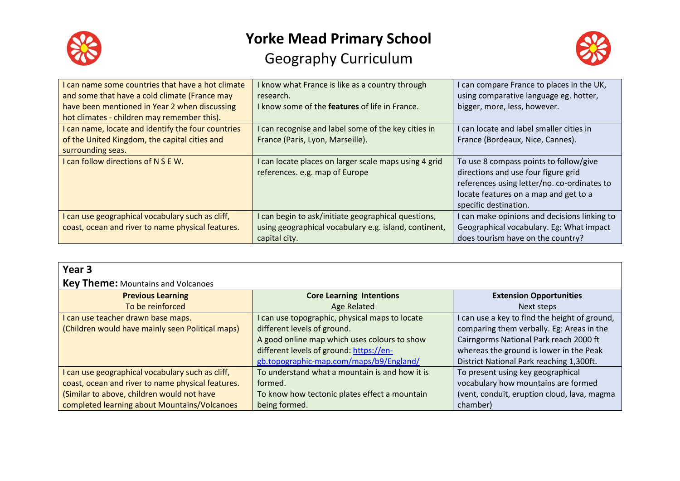



| can name some countries that have a hot climate    | I know what France is like as a country through       | I can compare France to places in the UK,    |
|----------------------------------------------------|-------------------------------------------------------|----------------------------------------------|
| and some that have a cold climate (France may      | research.                                             | using comparative language eg. hotter,       |
| have been mentioned in Year 2 when discussing      | I know some of the <b>features</b> of life in France. | bigger, more, less, however.                 |
| hot climates - children may remember this).        |                                                       |                                              |
| I can name, locate and identify the four countries | I can recognise and label some of the key cities in   | I can locate and label smaller cities in     |
| of the United Kingdom, the capital cities and      | France (Paris, Lyon, Marseille).                      | France (Bordeaux, Nice, Cannes).             |
| surrounding seas.                                  |                                                       |                                              |
| I can follow directions of N S E W.                | I can locate places on larger scale maps using 4 grid | To use 8 compass points to follow/give       |
|                                                    | references. e.g. map of Europe                        | directions and use four figure grid          |
|                                                    |                                                       | references using letter/no. co-ordinates to  |
|                                                    |                                                       | locate features on a map and get to a        |
|                                                    |                                                       | specific destination.                        |
| I can use geographical vocabulary such as cliff,   | I can begin to ask/initiate geographical questions,   | I can make opinions and decisions linking to |
| coast, ocean and river to name physical features.  | using geographical vocabulary e.g. island, continent, | Geographical vocabulary. Eg: What impact     |
|                                                    | capital city.                                         | does tourism have on the country?            |

| ۰,<br>. .<br>× | ۰. |
|----------------|----|
|----------------|----|

#### **Key Theme:** Mountains and Volcanoes

| <b>Previous Learning</b>                          | <b>Core Learning Intentions</b>                | <b>Extension Opportunities</b>                |
|---------------------------------------------------|------------------------------------------------|-----------------------------------------------|
| To be reinforced                                  | Age Related                                    | Next steps                                    |
| I can use teacher drawn base maps.                | can use topographic, physical maps to locate   | I can use a key to find the height of ground, |
| (Children would have mainly seen Political maps)  | different levels of ground.                    | comparing them verbally. Eg: Areas in the     |
|                                                   | A good online map which uses colours to show   | Cairngorms National Park reach 2000 ft        |
|                                                   | different levels of ground: https://en-        | whereas the ground is lower in the Peak       |
|                                                   | gb.topographic-map.com/maps/b9/England/        | District National Park reaching 1,300ft.      |
| I can use geographical vocabulary such as cliff,  | To understand what a mountain is and how it is | To present using key geographical             |
| coast, ocean and river to name physical features. | formed.                                        | vocabulary how mountains are formed           |
| (Similar to above, children would not have        | To know how tectonic plates effect a mountain  | (vent, conduit, eruption cloud, lava, magma   |
| completed learning about Mountains/Volcanoes      | being formed.                                  | chamber)                                      |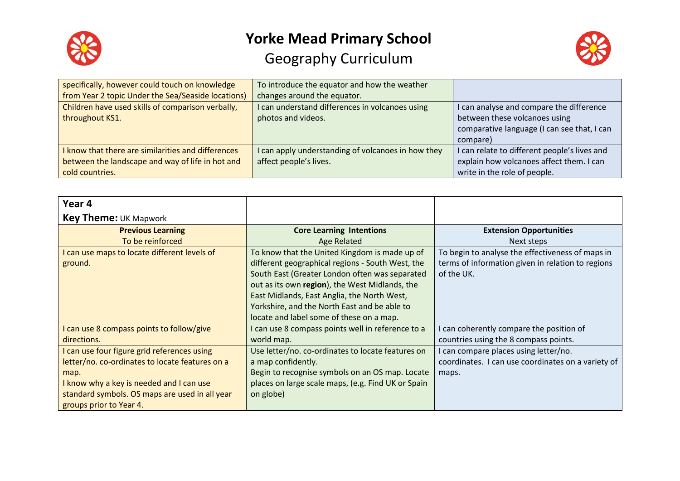



| specifically, however could touch on knowledge     | To introduce the equator and how the weather       |                                              |
|----------------------------------------------------|----------------------------------------------------|----------------------------------------------|
| from Year 2 topic Under the Sea/Seaside locations) | changes around the equator.                        |                                              |
| Children have used skills of comparison verbally,  | I can understand differences in volcanoes using    | I can analyse and compare the difference     |
| throughout KS1.                                    | photos and videos.                                 | between these volcanoes using                |
|                                                    |                                                    | comparative language (I can see that, I can  |
|                                                    |                                                    | compare)                                     |
| I know that there are similarities and differences | I can apply understanding of volcanoes in how they | I can relate to different people's lives and |
| between the landscape and way of life in hot and   | affect people's lives.                             | explain how volcanoes affect them. I can     |
| cold countries.                                    |                                                    | write in the role of people.                 |

| Year 4                                          |                                                    |                                                    |
|-------------------------------------------------|----------------------------------------------------|----------------------------------------------------|
| <b>Key Theme: UK Mapwork</b>                    |                                                    |                                                    |
| <b>Previous Learning</b>                        | <b>Core Learning Intentions</b>                    | <b>Extension Opportunities</b>                     |
| To be reinforced                                | <b>Age Related</b>                                 | Next steps                                         |
| can use maps to locate different levels of      | To know that the United Kingdom is made up of      | To begin to analyse the effectiveness of maps in   |
| ground.                                         | different geographical regions - South West, the   | terms of information given in relation to regions  |
|                                                 | South East (Greater London often was separated     | of the UK.                                         |
|                                                 | out as its own region), the West Midlands, the     |                                                    |
|                                                 | East Midlands, East Anglia, the North West,        |                                                    |
|                                                 | Yorkshire, and the North East and be able to       |                                                    |
|                                                 | locate and label some of these on a map.           |                                                    |
| can use 8 compass points to follow/give         | I can use 8 compass points well in reference to a  | can coherently compare the position of             |
| directions.                                     | world map.                                         | countries using the 8 compass points.              |
| can use four figure grid references using       | Use letter/no. co-ordinates to locate features on  | can compare places using letter/no.                |
| letter/no. co-ordinates to locate features on a | a map confidently.                                 | coordinates. I can use coordinates on a variety of |
| map.                                            | Begin to recognise symbols on an OS map. Locate    | maps.                                              |
| I know why a key is needed and I can use        | places on large scale maps, (e.g. Find UK or Spain |                                                    |
| standard symbols. OS maps are used in all year  | on globe)                                          |                                                    |
| groups prior to Year 4.                         |                                                    |                                                    |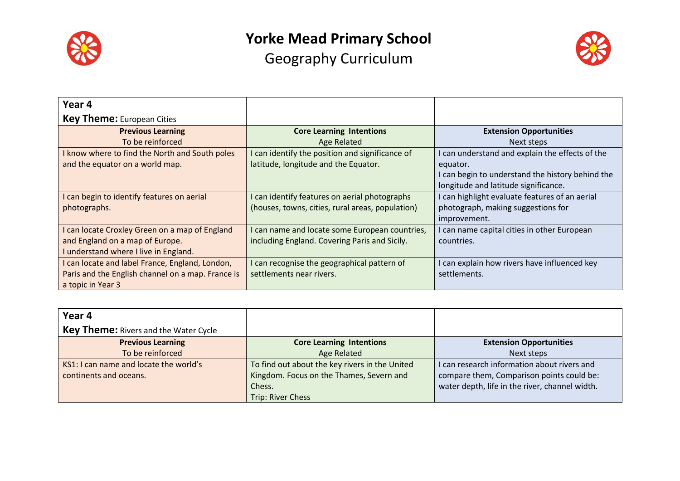



| Year 4                                            |                                                  |                                                  |
|---------------------------------------------------|--------------------------------------------------|--------------------------------------------------|
| <b>Key Theme:</b> European Cities                 |                                                  |                                                  |
| <b>Previous Learning</b>                          | <b>Core Learning Intentions</b>                  | <b>Extension Opportunities</b>                   |
| To be reinforced                                  | <b>Age Related</b>                               | Next steps                                       |
| I know where to find the North and South poles    | I can identify the position and significance of  | I can understand and explain the effects of the  |
| and the equator on a world map.                   | latitude, longitude and the Equator.             | equator.                                         |
|                                                   |                                                  | I can begin to understand the history behind the |
|                                                   |                                                  | longitude and latitude significance.             |
| I can begin to identify features on aerial        | I can identify features on aerial photographs    | I can highlight evaluate features of an aerial   |
| photographs.                                      | (houses, towns, cities, rural areas, population) | photograph, making suggestions for               |
|                                                   |                                                  | improvement.                                     |
| I can locate Croxley Green on a map of England    | I can name and locate some European countries,   | I can name capital cities in other European      |
| and England on a map of Europe.                   | including England. Covering Paris and Sicily.    | countries.                                       |
| I understand where I live in England.             |                                                  |                                                  |
| I can locate and label France, England, London,   | I can recognise the geographical pattern of      | I can explain how rivers have influenced key     |
| Paris and the English channel on a map. France is | settlements near rivers.                         | settlements.                                     |
| a topic in Year 3                                 |                                                  |                                                  |

| Year 4                                       |                                                |                                                |
|----------------------------------------------|------------------------------------------------|------------------------------------------------|
| <b>Key Theme: Rivers and the Water Cycle</b> |                                                |                                                |
| <b>Previous Learning</b>                     | <b>Core Learning Intentions</b>                | <b>Extension Opportunities</b>                 |
| To be reinforced                             | <b>Age Related</b>                             | Next steps                                     |
| KS1: I can name and locate the world's       | To find out about the key rivers in the United | I can research information about rivers and    |
| continents and oceans.                       | Kingdom. Focus on the Thames, Severn and       | compare them, Comparison points could be:      |
|                                              | Chess.                                         | water depth, life in the river, channel width. |
|                                              | <b>Trip: River Chess</b>                       |                                                |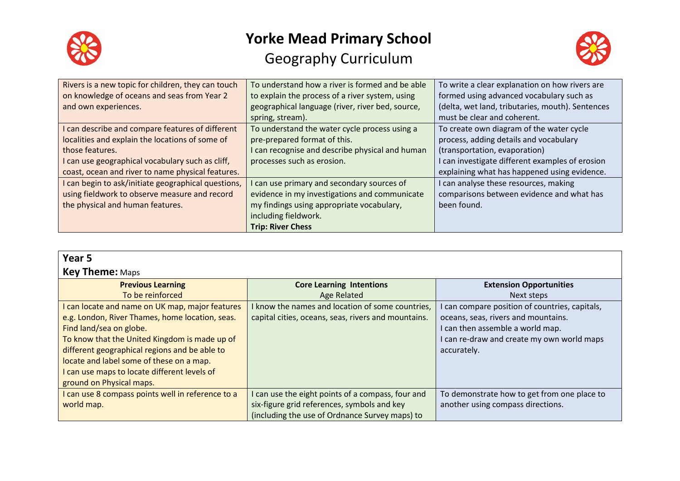



| Rivers is a new topic for children, they can touch  | To understand how a river is formed and be able  | To write a clear explanation on how rivers are   |
|-----------------------------------------------------|--------------------------------------------------|--------------------------------------------------|
| on knowledge of oceans and seas from Year 2         | to explain the process of a river system, using  | formed using advanced vocabulary such as         |
| and own experiences.                                | geographical language (river, river bed, source, | (delta, wet land, tributaries, mouth). Sentences |
|                                                     | spring, stream).                                 | must be clear and coherent.                      |
| I can describe and compare features of different    | To understand the water cycle process using a    | To create own diagram of the water cycle         |
| localities and explain the locations of some of     | pre-prepared format of this.                     | process, adding details and vocabulary           |
| those features.                                     | I can recognise and describe physical and human  | (transportation, evaporation)                    |
| I can use geographical vocabulary such as cliff,    | processes such as erosion.                       | I can investigate different examples of erosion  |
| coast, ocean and river to name physical features.   |                                                  | explaining what has happened using evidence.     |
| I can begin to ask/initiate geographical questions, | I can use primary and secondary sources of       | I can analyse these resources, making            |
| using fieldwork to observe measure and record       | evidence in my investigations and communicate    | comparisons between evidence and what has        |
| the physical and human features.                    | my findings using appropriate vocabulary,        | been found.                                      |
|                                                     | including fieldwork.                             |                                                  |
|                                                     | <b>Trip: River Chess</b>                         |                                                  |

| Year <sub>5</sub><br><b>Key Theme: Maps</b>                                                                                                                                                                                                                                                                                                             |                                                                                                                                                    |                                                                                                                                                                                        |
|---------------------------------------------------------------------------------------------------------------------------------------------------------------------------------------------------------------------------------------------------------------------------------------------------------------------------------------------------------|----------------------------------------------------------------------------------------------------------------------------------------------------|----------------------------------------------------------------------------------------------------------------------------------------------------------------------------------------|
| <b>Previous Learning</b><br>To be reinforced                                                                                                                                                                                                                                                                                                            | <b>Core Learning Intentions</b><br><b>Age Related</b>                                                                                              | <b>Extension Opportunities</b><br>Next steps                                                                                                                                           |
| I can locate and name on UK map, major features<br>e.g. London, River Thames, home location, seas.<br>Find land/sea on globe.<br>To know that the United Kingdom is made up of<br>different geographical regions and be able to<br>locate and label some of these on a map.<br>I can use maps to locate different levels of<br>ground on Physical maps. | I know the names and location of some countries,<br>capital cities, oceans, seas, rivers and mountains.                                            | I can compare position of countries, capitals,<br>oceans, seas, rivers and mountains.<br>I can then assemble a world map.<br>I can re-draw and create my own world maps<br>accurately. |
| I can use 8 compass points well in reference to a<br>world map.                                                                                                                                                                                                                                                                                         | I can use the eight points of a compass, four and<br>six-figure grid references, symbols and key<br>(including the use of Ordnance Survey maps) to | To demonstrate how to get from one place to<br>another using compass directions.                                                                                                       |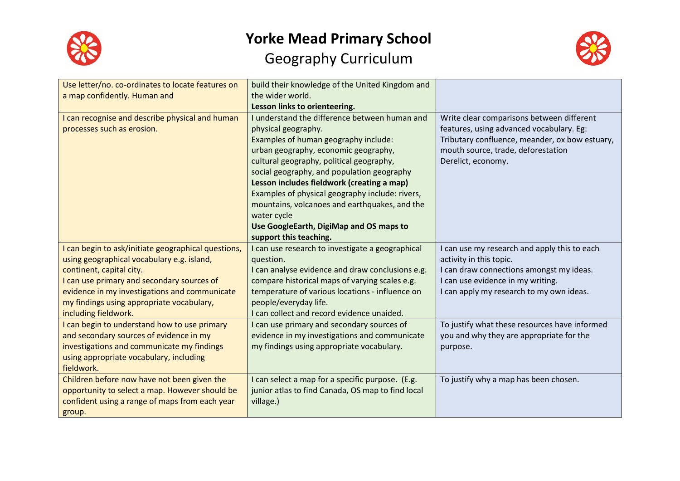



| Use letter/no. co-ordinates to locate features on<br>a map confidently. Human and                                                                                                                                                                                                                 | build their knowledge of the United Kingdom and<br>the wider world.<br>Lesson links to orienteering.                                                                                                                                                                                                                                                                                                                                                                                 |                                                                                                                                                                                                      |
|---------------------------------------------------------------------------------------------------------------------------------------------------------------------------------------------------------------------------------------------------------------------------------------------------|--------------------------------------------------------------------------------------------------------------------------------------------------------------------------------------------------------------------------------------------------------------------------------------------------------------------------------------------------------------------------------------------------------------------------------------------------------------------------------------|------------------------------------------------------------------------------------------------------------------------------------------------------------------------------------------------------|
| I can recognise and describe physical and human<br>processes such as erosion.                                                                                                                                                                                                                     | I understand the difference between human and<br>physical geography.<br>Examples of human geography include:<br>urban geography, economic geography,<br>cultural geography, political geography,<br>social geography, and population geography<br>Lesson includes fieldwork (creating a map)<br>Examples of physical geography include: rivers,<br>mountains, volcanoes and earthquakes, and the<br>water cycle<br>Use GoogleEarth, DigiMap and OS maps to<br>support this teaching. | Write clear comparisons between different<br>features, using advanced vocabulary. Eg:<br>Tributary confluence, meander, ox bow estuary,<br>mouth source, trade, deforestation<br>Derelict, economy.  |
| I can begin to ask/initiate geographical questions,<br>using geographical vocabulary e.g. island,<br>continent, capital city.<br>I can use primary and secondary sources of<br>evidence in my investigations and communicate<br>my findings using appropriate vocabulary,<br>including fieldwork. | I can use research to investigate a geographical<br>question.<br>I can analyse evidence and draw conclusions e.g.<br>compare historical maps of varying scales e.g.<br>temperature of various locations - influence on<br>people/everyday life.<br>I can collect and record evidence unaided.                                                                                                                                                                                        | I can use my research and apply this to each<br>activity in this topic.<br>I can draw connections amongst my ideas.<br>I can use evidence in my writing.<br>I can apply my research to my own ideas. |
| I can begin to understand how to use primary<br>and secondary sources of evidence in my<br>investigations and communicate my findings<br>using appropriate vocabulary, including<br>fieldwork.                                                                                                    | I can use primary and secondary sources of<br>evidence in my investigations and communicate<br>my findings using appropriate vocabulary.                                                                                                                                                                                                                                                                                                                                             | To justify what these resources have informed<br>you and why they are appropriate for the<br>purpose.                                                                                                |
| Children before now have not been given the<br>opportunity to select a map. However should be<br>confident using a range of maps from each year<br>group.                                                                                                                                         | I can select a map for a specific purpose. (E.g.<br>junior atlas to find Canada, OS map to find local<br>village.)                                                                                                                                                                                                                                                                                                                                                                   | To justify why a map has been chosen.                                                                                                                                                                |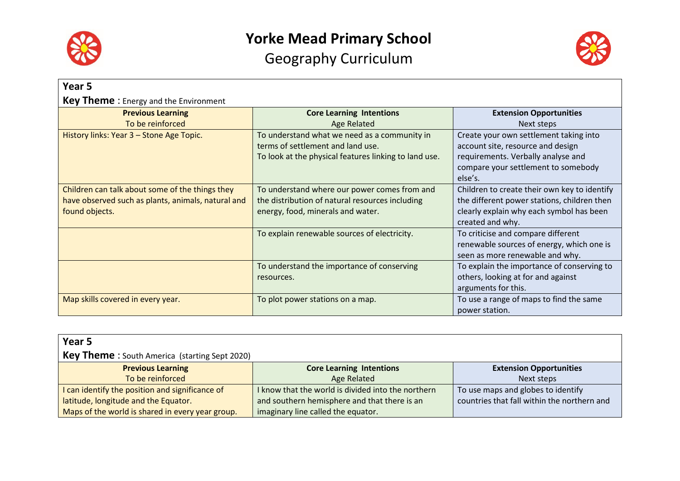



| Year 5                                             |                                                       |                                              |
|----------------------------------------------------|-------------------------------------------------------|----------------------------------------------|
| <b>Key Theme:</b> Energy and the Environment       |                                                       |                                              |
| <b>Previous Learning</b>                           | <b>Core Learning Intentions</b>                       | <b>Extension Opportunities</b>               |
| To be reinforced                                   | Age Related                                           | Next steps                                   |
| History links: Year 3 - Stone Age Topic.           | To understand what we need as a community in          | Create your own settlement taking into       |
|                                                    | terms of settlement and land use.                     | account site, resource and design            |
|                                                    | To look at the physical features linking to land use. | requirements. Verbally analyse and           |
|                                                    |                                                       | compare your settlement to somebody          |
|                                                    |                                                       | else's.                                      |
| Children can talk about some of the things they    | To understand where our power comes from and          | Children to create their own key to identify |
| have observed such as plants, animals, natural and | the distribution of natural resources including       | the different power stations, children then  |
| found objects.                                     | energy, food, minerals and water.                     | clearly explain why each symbol has been     |
|                                                    |                                                       | created and why.                             |
|                                                    | To explain renewable sources of electricity.          | To criticise and compare different           |
|                                                    |                                                       | renewable sources of energy, which one is    |
|                                                    |                                                       | seen as more renewable and why.              |
|                                                    | To understand the importance of conserving            | To explain the importance of conserving to   |
|                                                    | resources.                                            | others, looking at for and against           |
|                                                    |                                                       | arguments for this.                          |
| Map skills covered in every year.                  | To plot power stations on a map.                      | To use a range of maps to find the same      |
|                                                    |                                                       | power station.                               |

| Year 5                                                |                                                    |                                             |
|-------------------------------------------------------|----------------------------------------------------|---------------------------------------------|
| <b>Key Theme</b> : South America (starting Sept 2020) |                                                    |                                             |
| <b>Previous Learning</b>                              | <b>Core Learning Intentions</b>                    | <b>Extension Opportunities</b>              |
| To be reinforced                                      | Age Related                                        | Next steps                                  |
| I can identify the position and significance of       | I know that the world is divided into the northern | To use maps and globes to identify          |
| latitude, longitude and the Equator.                  | and southern hemisphere and that there is an       | countries that fall within the northern and |
| Maps of the world is shared in every year group.      | imaginary line called the equator.                 |                                             |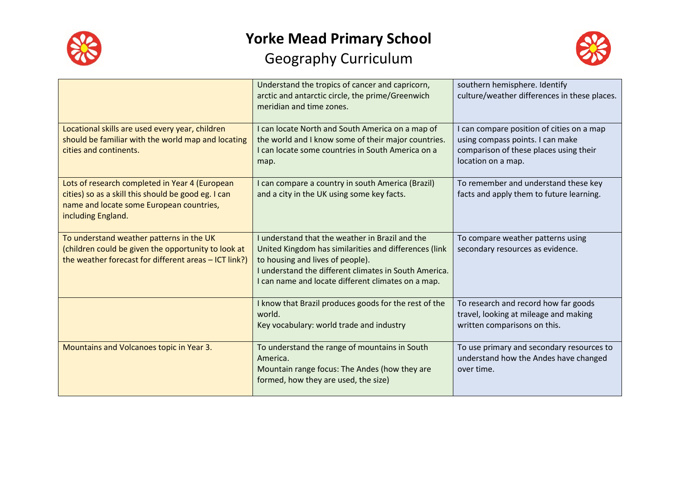



|                                                                                                                                                                         | Understand the tropics of cancer and capricorn,<br>arctic and antarctic circle, the prime/Greenwich<br>meridian and time zones.                                                                                                                             | southern hemisphere. Identify<br>culture/weather differences in these places.                                                                 |
|-------------------------------------------------------------------------------------------------------------------------------------------------------------------------|-------------------------------------------------------------------------------------------------------------------------------------------------------------------------------------------------------------------------------------------------------------|-----------------------------------------------------------------------------------------------------------------------------------------------|
| Locational skills are used every year, children<br>should be familiar with the world map and locating<br>cities and continents.                                         | I can locate North and South America on a map of<br>the world and I know some of their major countries.<br>I can locate some countries in South America on a<br>map.                                                                                        | I can compare position of cities on a map<br>using compass points. I can make<br>comparison of these places using their<br>location on a map. |
| Lots of research completed in Year 4 (European<br>cities) so as a skill this should be good eg. I can<br>name and locate some European countries,<br>including England. | I can compare a country in south America (Brazil)<br>and a city in the UK using some key facts.                                                                                                                                                             | To remember and understand these key<br>facts and apply them to future learning.                                                              |
| To understand weather patterns in the UK<br>(children could be given the opportunity to look at<br>the weather forecast for different areas - ICT link?)                | I understand that the weather in Brazil and the<br>United Kingdom has similarities and differences (link<br>to housing and lives of people).<br>I understand the different climates in South America.<br>I can name and locate different climates on a map. | To compare weather patterns using<br>secondary resources as evidence.                                                                         |
|                                                                                                                                                                         | I know that Brazil produces goods for the rest of the<br>world.<br>Key vocabulary: world trade and industry                                                                                                                                                 | To research and record how far goods<br>travel, looking at mileage and making<br>written comparisons on this.                                 |
| Mountains and Volcanoes topic in Year 3.                                                                                                                                | To understand the range of mountains in South<br>America.<br>Mountain range focus: The Andes (how they are<br>formed, how they are used, the size)                                                                                                          | To use primary and secondary resources to<br>understand how the Andes have changed<br>over time.                                              |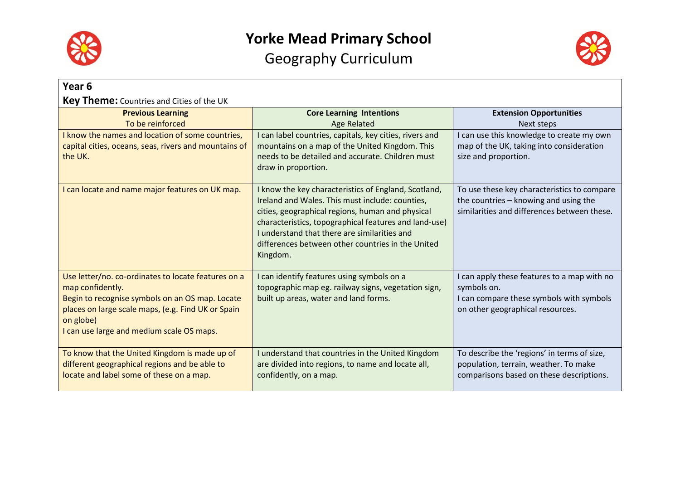



| Year <sub>6</sub>                                                                                                                                                                                                                          |                                                                                                                                                                                                                                                                                                                                       |                                                                                                                                            |  |  |
|--------------------------------------------------------------------------------------------------------------------------------------------------------------------------------------------------------------------------------------------|---------------------------------------------------------------------------------------------------------------------------------------------------------------------------------------------------------------------------------------------------------------------------------------------------------------------------------------|--------------------------------------------------------------------------------------------------------------------------------------------|--|--|
| <b>Key Theme:</b> Countries and Cities of the UK                                                                                                                                                                                           |                                                                                                                                                                                                                                                                                                                                       |                                                                                                                                            |  |  |
| <b>Previous Learning</b>                                                                                                                                                                                                                   | <b>Core Learning Intentions</b>                                                                                                                                                                                                                                                                                                       | <b>Extension Opportunities</b>                                                                                                             |  |  |
| To be reinforced                                                                                                                                                                                                                           | <b>Age Related</b>                                                                                                                                                                                                                                                                                                                    | Next steps                                                                                                                                 |  |  |
| I know the names and location of some countries,<br>capital cities, oceans, seas, rivers and mountains of<br>the UK.                                                                                                                       | I can label countries, capitals, key cities, rivers and<br>mountains on a map of the United Kingdom. This<br>needs to be detailed and accurate. Children must<br>draw in proportion.                                                                                                                                                  | I can use this knowledge to create my own<br>map of the UK, taking into consideration<br>size and proportion.                              |  |  |
| I can locate and name major features on UK map.                                                                                                                                                                                            | I know the key characteristics of England, Scotland,<br>Ireland and Wales. This must include: counties,<br>cities, geographical regions, human and physical<br>characteristics, topographical features and land-use)<br>I understand that there are similarities and<br>differences between other countries in the United<br>Kingdom. | To use these key characteristics to compare<br>the countries - knowing and using the<br>similarities and differences between these.        |  |  |
| Use letter/no. co-ordinates to locate features on a<br>map confidently.<br>Begin to recognise symbols on an OS map. Locate<br>places on large scale maps, (e.g. Find UK or Spain<br>on globe)<br>I can use large and medium scale OS maps. | I can identify features using symbols on a<br>topographic map eg. railway signs, vegetation sign,<br>built up areas, water and land forms.                                                                                                                                                                                            | I can apply these features to a map with no<br>symbols on.<br>I can compare these symbols with symbols<br>on other geographical resources. |  |  |
| To know that the United Kingdom is made up of<br>different geographical regions and be able to<br>locate and label some of these on a map.                                                                                                 | I understand that countries in the United Kingdom<br>are divided into regions, to name and locate all,<br>confidently, on a map.                                                                                                                                                                                                      | To describe the 'regions' in terms of size,<br>population, terrain, weather. To make<br>comparisons based on these descriptions.           |  |  |